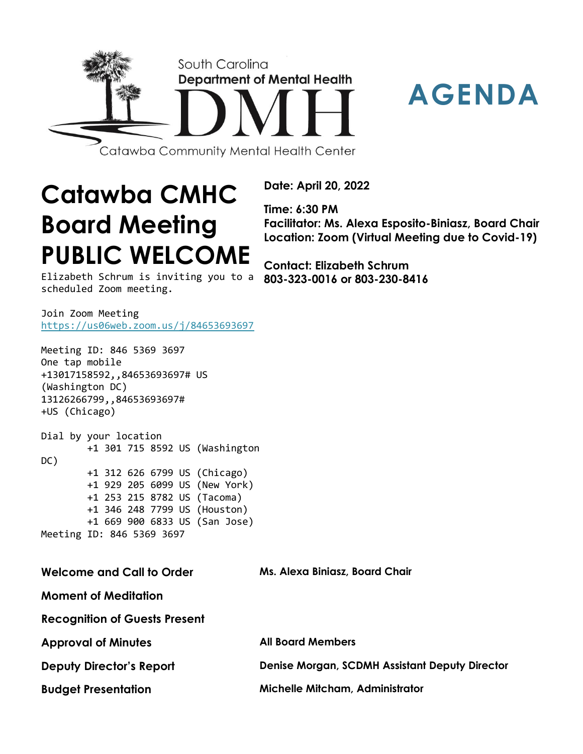



**Catawba CMHC**

**Date: April 20, 2022**

**Time: 6:30 PM Facilitator: Ms. Alexa Esposito-Biniasz, Board Chair Location: Zoom (Virtual Meeting due to Covid-19)**

**Contact: Elizabeth Schrum 803-323-0016 or 803-230-8416**

Elizabeth Schrum is inviting you to a scheduled Zoom meeting.

**PUBLIC WELCOME**

**Board Meeting**

Join Zoom Meeting <https://us06web.zoom.us/j/84653693697>

Meeting ID: 846 5369 3697 One tap mobile +13017158592,,84653693697# US (Washington DC) 13126266799,,84653693697# +US (Chicago)

Dial by your location +1 301 715 8592 US (Washington DC) +1 312 626 6799 US (Chicago) +1 929 205 6099 US (New York) +1 253 215 8782 US (Tacoma) +1 346 248 7799 US (Houston) +1 669 900 6833 US (San Jose) Meeting ID: 846 5369 3697

**Welcome and Call to Order Ms. Alexa Biniasz, Board Chair**

**Moment of Meditation**

**Recognition of Guests Present**

| <b>Approval of Minutes</b>      | <b>All Board Members</b>                              |
|---------------------------------|-------------------------------------------------------|
| <b>Deputy Director's Report</b> | <b>Denise Morgan, SCDMH Assistant Deputy Director</b> |
| <b>Budget Presentation</b>      | <b>Michelle Mitcham, Administrator</b>                |